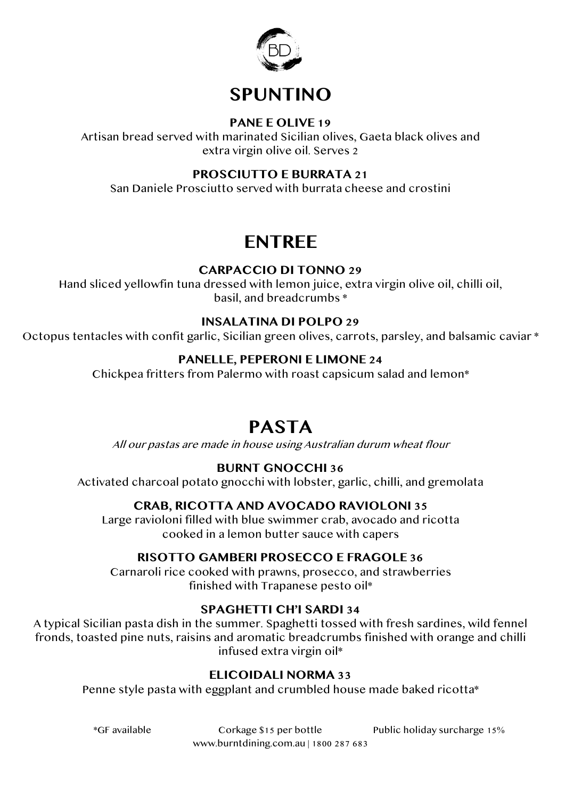

## **SPUNTINO**

#### **PANE E OLIVE 19**

Artisan bread served with marinated Sicilian olives, Gaeta black olives and extra virgin olive oil. Serves 2

#### **PROSCIUTTO E BURRATA 21**

San Daniele Prosciutto served with burrata cheese and crostini

## **ENTREE**

#### **CARPACCIO DI TONNO 29**

Hand sliced yellowfin tuna dressed with lemon juice, extra virgin olive oil, chilli oil, basil, and breadcrumbs \*

#### **INSALATINA DI POLPO 29**

Octopus tentacles with confit garlic, Sicilian green olives, carrots, parsley, and balsamic caviar \*

#### **PANELLE, PEPERONI E LIMONE 24**

Chickpea fritters from Palermo with roast capsicum salad and lemon\*

## **PASTA**

All our pastas are made in house using Australian durum wheat flour

#### **BURNT GNOCCHI 36**

Activated charcoal potato gnocchi with lobster, garlic, chilli, and gremolata

#### **CRAB, RICOTTA AND AVOCADO RAVIOLONI 35**

Large ravioloni filled with blue swimmer crab, avocado and ricotta cooked in a lemon butter sauce with capers

#### **RISOTTO GAMBERI PROSECCO E FRAGOLE 36**

Carnaroli rice cooked with prawns, prosecco, and strawberries finished with Trapanese pesto oil\*

#### **SPAGHETTI CH'I SARDI 34**

A typical Sicilian pasta dish in the summer. Spaghetti tossed with fresh sardines, wild fennel fronds, toasted pine nuts, raisins and aromatic breadcrumbs finished with orange and chilli infused extra virgin oil\*

#### **ELICOIDALI NORMA 33**

Penne style pasta with eggplant and crumbled house made baked ricotta\*

 \*GF available Corkage \$15 per bottle Public holiday surcharge 15% www.burntdining.com.au | 1800 287 683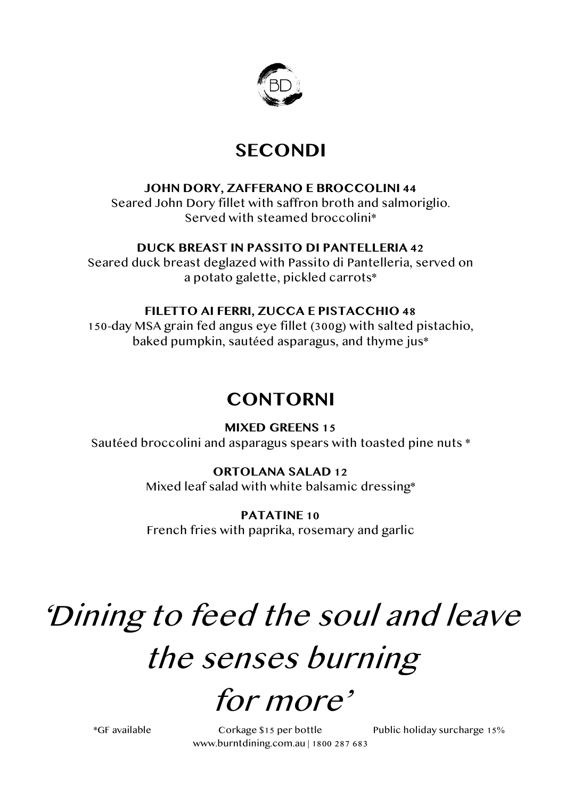

## **SECONDI**

#### **JOHN DORY, ZAFFERANO E BROCCOLINI 44**

Seared John Dory fillet with saffron broth and salmoriglio. Served with steamed broccolini\*

#### **DUCK BREAST IN PASSITO DI PANTELLERIA 42**

Seared duck breast deglazed with Passito di Pantelleria, served on a potato galette, pickled carrots\*

#### **FILETTO AI FERRI, ZUCCA E PISTACCHIO 48**

150-day MSA grain fed angus eye fillet (300g) with salted pistachio, baked pumpkin, sautéed asparagus, and thyme jus\*

## **CONTORNI**

**MIXED GREENS 15** Sautéed broccolini and asparagus spears with toasted pine nuts \*

#### **ORTOLANA SALAD 12**

Mixed leaf salad with white balsamic dressing\*

**PATATINE 10** French fries with paprika, rosemary and garlic

# 'Dining to feed the soul and leave the senses burning

# for more'

 \*GF available Corkage \$15 per bottle Public holiday surcharge 15% www.burntdining.com.au | 1800 287 683